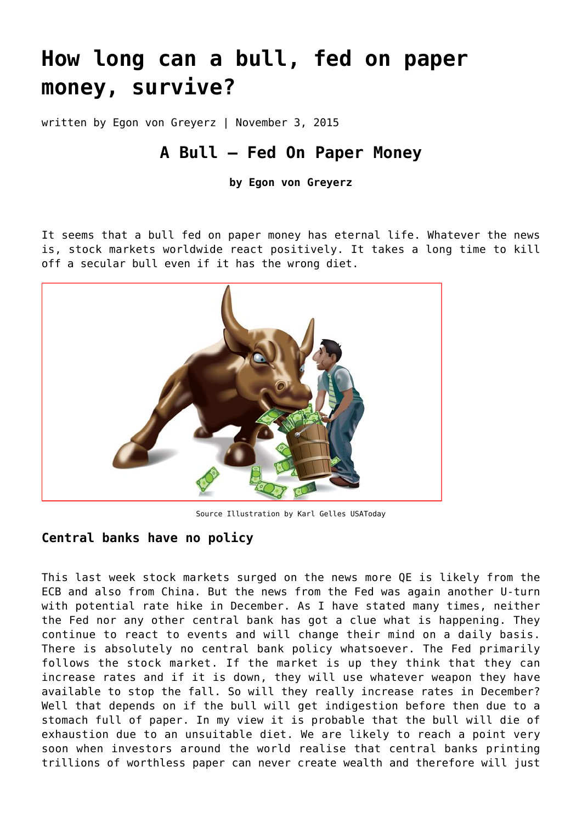# **[How long can a bull, fed on paper](https://goldswitzerland.com/how-long-can-a-bull-fed-on-paper-money-survive/) [money, survive?](https://goldswitzerland.com/how-long-can-a-bull-fed-on-paper-money-survive/)**

written by Egon von Greyerz | November 3, 2015

# **A Bull – Fed On Paper Money**

**by Egon von Greyerz**

It seems that a bull fed on paper money has eternal life. Whatever the news is, stock markets worldwide react positively. It takes a long time to kill off a secular bull even if it has the wrong diet.



Source [Illustration by Karl Gelles USAToday](http://www.usatoday.com/)

#### **Central banks have no policy**

This last week stock markets surged on the news more QE is likely from the ECB and also from China. But the news from the Fed was again another U-turn with potential rate hike in December. As I have stated many times, neither the Fed nor any other central bank has got a clue what is happening. They continue to react to events and will change their mind on a daily basis. There is absolutely no central bank policy whatsoever. The Fed primarily follows the stock market. If the market is up they think that they can increase rates and if it is down, they will use whatever weapon they have available to stop the fall. So will they really increase rates in December? Well that depends on if the bull will get indigestion before then due to a stomach full of paper. In my view it is probable that the bull will die of exhaustion due to an unsuitable diet. We are likely to reach a point very soon when investors around the world realise that central banks printing trillions of worthless paper can never create wealth and therefore will just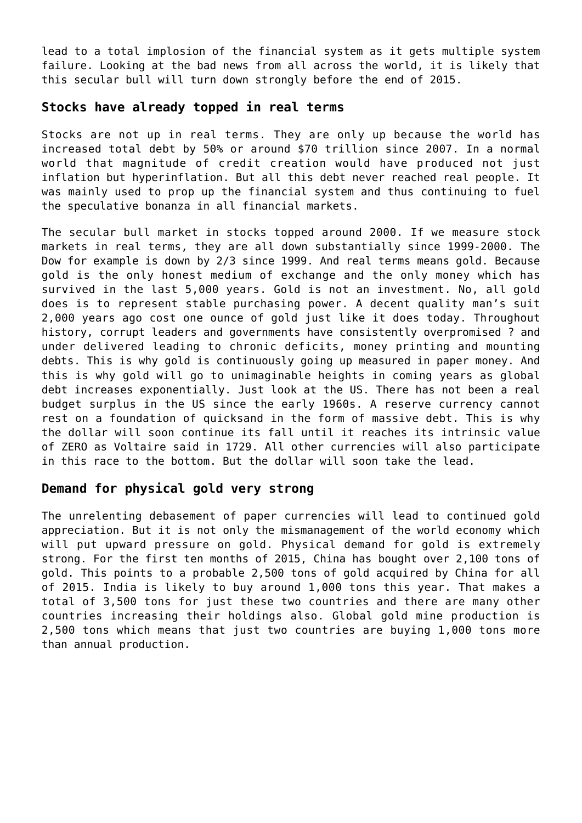lead to a total implosion of the financial system as it gets multiple system failure. Looking at the bad news from all across the world, it is likely that this secular bull will turn down strongly before the end of 2015.

#### **Stocks have already topped in real terms**

Stocks are not up in real terms. They are only up because the world has increased total debt by 50% or around \$70 trillion since 2007. In a normal world that magnitude of credit creation would have produced not just inflation but hyperinflation. But all this debt never reached real people. It was mainly used to prop up the financial system and thus continuing to fuel the speculative bonanza in all financial markets.

The secular bull market in stocks topped around 2000. If we measure stock markets in real terms, they are all down substantially since 1999-2000. The Dow for example is down by 2/3 since 1999. And real terms means gold. Because gold is the only honest medium of exchange and the only money which has survived in the last 5,000 years. Gold is not an investment. No, all gold does is to represent stable purchasing power. A decent quality man's suit 2,000 years ago cost one ounce of gold just like it does today. Throughout history, corrupt leaders and governments have consistently overpromised ? and under delivered leading to chronic deficits, money printing and mounting debts. This is why gold is continuously going up measured in paper money. And this is why gold will go to unimaginable heights in coming years as global debt increases exponentially. Just look at the US. There has not been a real budget surplus in the US since the early 1960s. A reserve currency cannot rest on a foundation of quicksand in the form of massive debt. This is why the dollar will soon continue its fall until it reaches its intrinsic value of ZERO as Voltaire said in 1729. All other currencies will also participate in this race to the bottom. But the dollar will soon take the lead.

#### **Demand for physical gold very strong**

The unrelenting debasement of paper currencies will lead to continued gold appreciation. But it is not only the mismanagement of the world economy which will put upward pressure on gold. Physical demand for gold is extremely strong. For the first ten months of 2015, China has bought over 2,100 tons of gold. This points to a probable 2,500 tons of gold acquired by China for all of 2015. India is likely to buy around 1,000 tons this year. That makes a total of 3,500 tons for just these two countries and there are many other countries increasing their holdings also. Global gold mine production is 2,500 tons which means that just two countries are buying 1,000 tons more than annual production.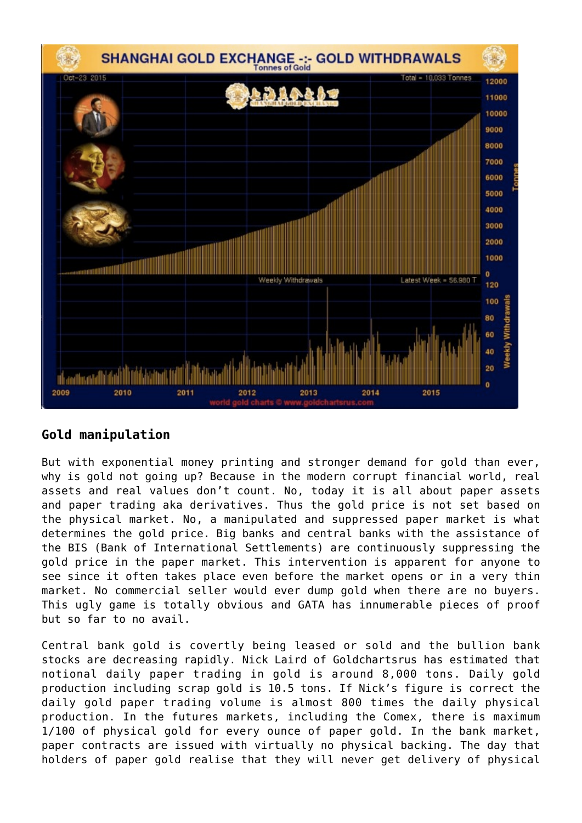

## **Gold manipulation**

But with exponential money printing and stronger demand for gold than ever, why is gold not going up? Because in the modern corrupt financial world, real assets and real values don't count. No, today it is all about paper assets and paper trading aka derivatives. Thus the gold price is not set based on the physical market. No, a manipulated and suppressed paper market is what determines the gold price. Big banks and central banks with the assistance of the BIS (Bank of International Settlements) are continuously suppressing the gold price in the paper market. This intervention is apparent for anyone to see since it often takes place even before the market opens or in a very thin market. No commercial seller would ever dump gold when there are no buyers. This ugly game is totally obvious and GATA has innumerable pieces of proof but so far to no avail.

Central bank gold is covertly being leased or sold and the bullion bank stocks are decreasing rapidly. Nick Laird of [Goldchartsrus](http://www.goldchartsrus.com) has estimated that notional daily paper trading in gold is around 8,000 tons. Daily gold production including scrap gold is 10.5 tons. If Nick's figure is correct the daily gold paper trading volume is almost 800 times the daily physical production. In the futures markets, including the Comex, there is maximum 1/100 of physical gold for every ounce of paper gold. In the bank market, paper contracts are issued with virtually no physical backing. The day that holders of paper gold realise that they will never get delivery of physical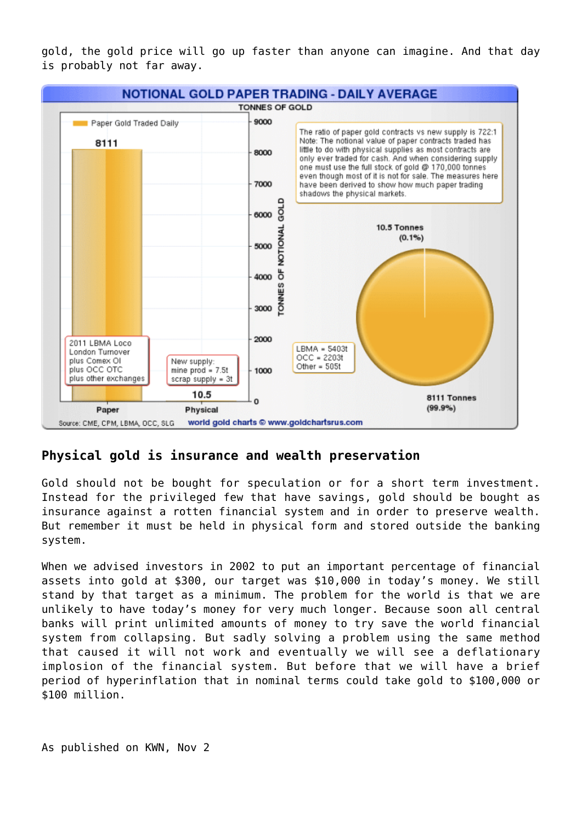gold, the gold price will go up faster than anyone can imagine. And that day is probably not far away.



#### **Physical gold is insurance and wealth preservation**

Gold should not be bought for speculation or for a short term investment. Instead for the privileged few that have savings, gold should be bought as insurance against a rotten financial system and in order to preserve wealth. But remember it must be held in physical form and stored outside the banking system.

When we advised investors in 2002 to put an important percentage of financial assets into gold at \$300, our target was \$10,000 in today's money. We still stand by that target as a minimum. The problem for the world is that we are unlikely to have today's money for very much longer. Because soon all central banks will print unlimited amounts of money to try save the world financial system from collapsing. But sadly solving a problem using the same method that caused it will not work and eventually we will see a deflationary implosion of the financial system. But before that we will have a brief period of hyperinflation that in nominal terms could take gold to \$100,000 or \$100 million.